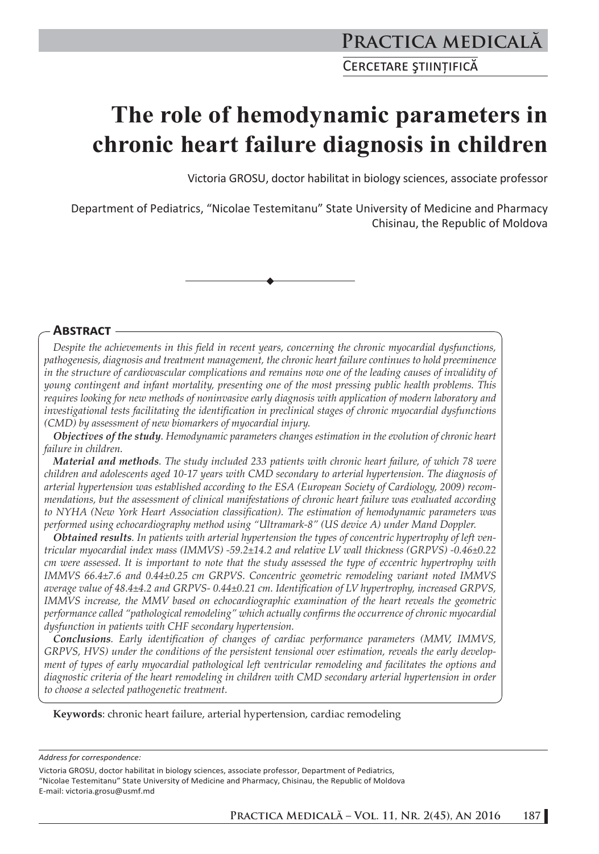# **The role of hemodynamic parameters in chronic heart failure diagnosis in children**

Victoria GROSU, doctor habilitat in biology sciences, associate professor

Department of Pediatrics, "Nicolae Testemitanu" State University of Medicine and Pharmacy Chisinau, the Republic of Moldova



## **ABSTRACT**

*Despite the achievements in this field in recent years, concerning the chronic myocardial dysfunctions, pathogenesis, diagnosis and treatment management, the chronic heart failure continues to hold preeminence in the structure of cardiovascular complications and remains now one of the leading causes of invalidity of young contingent and infant mortality, presenting one of the most pressing public health problems. This requires looking for new methods of noninvasive early diagnosis with application of modern laboratory and investigational tests facilitating the identification in preclinical stages of chronic myocardial dysfunctions (CMD) by assessment of new biomarkers of myocardial injury.* 

*Objectives of the study. Hemodynamic parameters changes estimation in the evolution of chronic heart failure in children.* 

*Material and methods. The study included 233 patients with chronic heart failure, of which 78 were children and adolescents aged 10-17 years with CMD secondary to arterial hypertension. The diagnosis of arterial hypertension was established according to the ESA (European Society of Cardiology, 2009) recommendations, but the assessment of clinical manifestations of chronic heart failure was evaluated according to NYHA (New York Heart Association classification). The estimation of hemodynamic parameters was performed using echocardiography method using "Ultramark-8" (US device A) under Mand Doppler.* 

*Obtained results. In patients with arterial hypertension the types of concentric hypertrophy of left ventricular myocardial index mass (IMMVS) -59.2±14.2 and relative LV wall thickness (GRPVS) -0.46±0.22 cm were assessed. It is important to note that the study assessed the type of eccentric hypertrophy with IMMVS 66.4±7.6 and 0.44±0.25 cm GRPVS. Concentric geometric remodeling variant noted IMMVS average value of 48.4±4.2 and GRPVS- 0.44±0.21 cm. Identification of LV hypertrophy, increased GRPVS, IMMVS increase, the MMV based on echocardiographic examination of the heart reveals the geometric performance called "pathological remodeling" which actually confirms the occurrence of chronic myocardial dysfunction in patients with CHF secondary hypertension.*

*Conclusions. Early identification of changes of cardiac performance parameters (MMV, IMMVS, GRPVS, HVS) under the conditions of the persistent tensional over estimation, reveals the early development of types of early myocardial pathological left ventricular remodeling and facilitates the options and diagnostic criteria of the heart remodeling in children with CMD secondary arterial hypertension in order to choose a selected pathogenetic treatment.*

**Keywords**: chronic heart failure, arterial hypertension, cardiac remodeling

*Address for correspondence:* 

Victoria GROSU, doctor habilitat in biology sciences, associate professor, Department of Pediatrics, "Nicolae Testemitanu" State University of Medicine and Pharmacy, Chisinau, the Republic of Moldova E-mail: victoria.grosu@usmf.md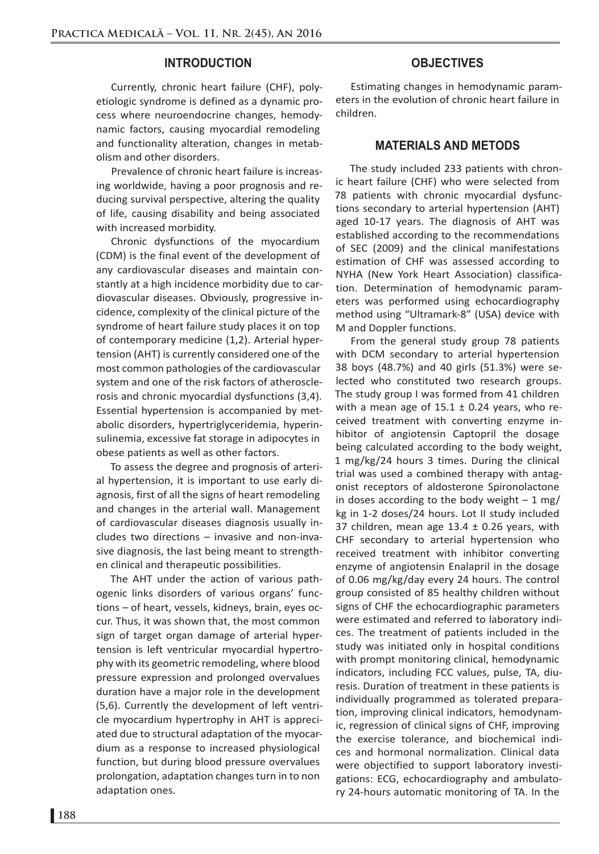#### **INTRODUCTION**

Currently, chronic heart failure (CHF), polyetiologic syndrome is defined as a dynamic process where neuroendocrine changes, hemodynamic factors, causing myocardial remodeling and functionality alteration, changes in metabolism and other disorders.

Prevalence of chronic heart failure is increasing worldwide, having a poor prognosis and reducing survival perspective, altering the quality of life, causing disability and being associated with increased morbidity.

Chronic dysfunctions of the myocardium (CDM) is the final event of the development of any cardiovascular diseases and maintain constantly at a high incidence morbidity due to cardiovascular diseases. Obviously, progressive incidence, complexity of the clinical picture of the syndrome of heart failure study places it on top of contemporary medicine (1,2). Arterial hypertension (AHT) is currently considered one of the most common pathologies of the cardiovascular system and one of the risk factors of atherosclerosis and chronic myocardial dysfunctions (3,4). Essential hypertension is accompanied by metabolic disorders, hypertriglyceridemia, hyperinsulinemia, excessive fat storage in adipocytes in obese patients as well as other factors.

To assess the degree and prognosis of arterial hypertension, it is important to use early diagnosis, first of all the signs of heart remodeling and changes in the arterial wall. Management of cardiovascular diseases diagnosis usually includes two directions – invasive and non-invasive diagnosis, the last being meant to strengthen clinical and therapeutic possibilities.

The AHT under the action of various pathogenic links disorders of various organs' functions – of heart, vessels, kidneys, brain, eyes occur. Thus, it was shown that, the most common sign of target organ damage of arterial hypertension is left ventricular myocardial hypertrophy with its geometric remodeling, where blood pressure expression and prolonged overvalues duration have a major role in the development (5,6). Currently the development of left ventricle myocardium hypertrophy in AHT is appreciated due to structural adaptation of the myocardium as a response to increased physiological function, but during blood pressure overvalues prolongation, adaptation changes turn in to non adaptation ones.

## **OBJECTIVES**

Estimating changes in hemodynamic parameters in the evolution of chronic heart failure in children.

### **MATERIALS AND METODS**

The study included 233 patients with chronic heart failure (CHF) who were selected from 78 patients with chronic myocardial dysfunctions secondary to arterial hypertension (AHT) aged 10-17 years. The diagnosis of AHT was established according to the recommendations of SEC (2009) and the clinical manifestations estimation of CHF was assessed according to NYHA (New York Heart Association) classification. Determination of hemodynamic parameters was performed using echocardiography method using "Ultramark-8" (USA) device with M and Doppler functions.

From the general study group 78 patients with DCM secondary to arterial hypertension 38 boys (48.7%) and 40 girls (51.3%) were selected who constituted two research groups. The study group I was formed from 41 children with a mean age of  $15.1 \pm 0.24$  years, who received treatment with converting enzyme inhibitor of angiotensin Captopril the dosage being calculated according to the body weight, 1 mg/kg/24 hours 3 times. During the clinical trial was used a combined therapy with antagonist receptors of aldosterone Spironolactone in doses according to the body weight  $-1$  mg/ kg in 1-2 doses/24 hours. Lot II study included 37 children, mean age  $13.4 \pm 0.26$  years, with CHF secondary to arterial hypertension who received treatment with inhibitor converting enzyme of angiotensin Enalapril in the dosage of 0.06 mg/kg/day every 24 hours. The control group consisted of 85 healthy children without signs of CHF the echocardiographic parameters were estimated and referred to laboratory indices. The treatment of patients included in the study was initiated only in hospital conditions with prompt monitoring clinical, hemodynamic indicators, including FCC values, pulse, TA, diuresis. Duration of treatment in these patients is individually programmed as tolerated preparation, improving clinical indicators, hemodynamic, regression of clinical signs of CHF, improving the exercise tolerance, and biochemical indices and hormonal normalization. Clinical data were objectified to support laboratory investigations: ECG, echocardiography and ambulatory 24-hours automatic monitoring of TA. In the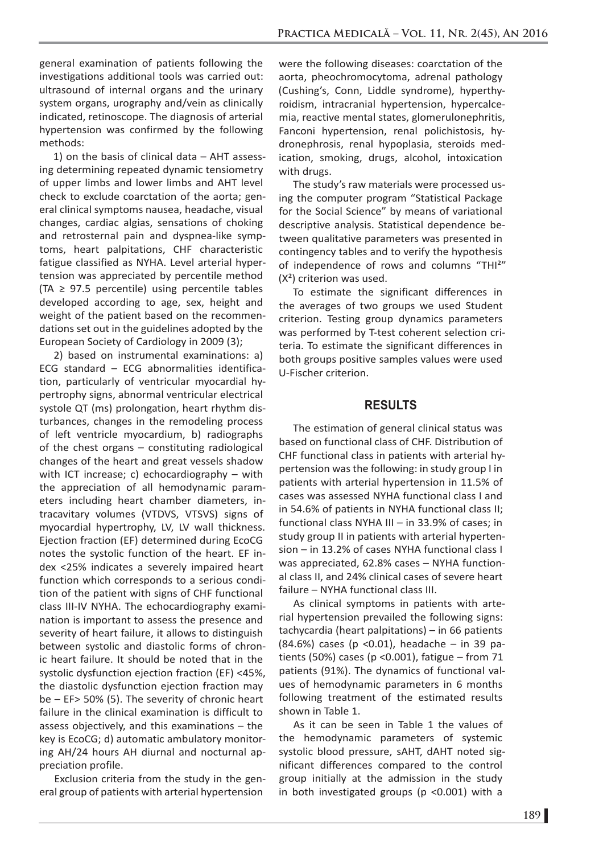general examination of patients following the investigations additional tools was carried out: ultrasound of internal organs and the urinary system organs, urography and/vein as clinically indicated, retinoscope. The diagnosis of arterial hypertension was confirmed by the following methods:

1) on the basis of clinical data – AHT assessing determining repeated dynamic tensiometry of upper limbs and lower limbs and AHT level check to exclude coarctation of the aorta; general clinical symptoms nausea, headache, visual changes, cardiac algias, sensations of choking and retrosternal pain and dyspnea-like symptoms, heart palpitations, CHF characteristic fatigue classified as NYHA. Level arterial hypertension was appreciated by percentile method  $(TA \geq 97.5$  percentile) using percentile tables developed according to age, sex, height and weight of the patient based on the recommendations set out in the guidelines adopted by the European Society of Cardiology in 2009 (3);

2) based on instrumental examinations: a) ECG standard – ECG abnormalities identification, particularly of ventricular myocardial hypertrophy signs, abnormal ventricular electrical systole QT (ms) prolongation, heart rhythm disturbances, changes in the remodeling process of left ventricle myocardium, b) radiographs of the chest organs – constituting radiological changes of the heart and great vessels shadow with ICT increase; c) echocardiography – with the appreciation of all hemodynamic parameters including heart chamber diameters, intracavitary volumes (VTDVS, VTSVS) signs of myocardial hypertrophy, LV, LV wall thickness. Ejection fraction (EF) determined during EcoCG notes the systolic function of the heart. EF index <25% indicates a severely impaired heart function which corresponds to a serious condition of the patient with signs of CHF functional class III-IV NYHA. The echocardiography examination is important to assess the presence and severity of heart failure, it allows to distinguish between systolic and diastolic forms of chronic heart failure. It should be noted that in the systolic dysfunction ejection fraction (EF) <45%, the diastolic dysfunction ejection fraction may be – EF> 50% (5). The severity of chronic heart failure in the clinical examination is difficult to assess objectively, and this examinations – the key is EcoCG; d) automatic ambulatory monitoring AH/24 hours AH diurnal and nocturnal appreciation profile.

Exclusion criteria from the study in the general group of patients with arterial hypertension

were the following diseases: coarctation of the aorta, pheochromocytoma, adrenal pathology (Cushing's, Conn, Liddle syndrome), hyperthyroidism, intracranial hypertension, hypercalcemia, reactive mental states, glomerulonephritis, Fanconi hypertension, renal polichistosis, hydronephrosis, renal hypoplasia, steroids medication, smoking, drugs, alcohol, intoxication with drugs.

The study's raw materials were processed using the computer program "Statistical Package for the Social Science" by means of variational descriptive analysis. Statistical dependence between qualitative parameters was presented in contingency tables and to verify the hypothesis of independence of rows and columns "THI<sup>2</sup>"  $(X<sup>2</sup>)$  criterion was used.

To estimate the significant differences in the averages of two groups we used Student criterion. Testing group dynamics parameters was performed by T-test coherent selection criteria. To estimate the significant differences in both groups positive samples values were used U-Fischer criterion.

### **RESULTS**

The estimation of general clinical status was based on functional class of CHF. Distribution of CHF functional class in patients with arterial hypertension was the following: in study group I in patients with arterial hypertension in 11.5% of cases was assessed NYHA functional class I and in 54.6% of patients in NYHA functional class II; functional class NYHA III – in 33.9% of cases; in study group II in patients with arterial hypertension – in 13.2% of cases NYHA functional class I was appreciated, 62.8% cases – NYHA functional class II, and 24% clinical cases of severe heart failure – NYHA functional class III.

As clinical symptoms in patients with arterial hypertension prevailed the following signs: tachycardia (heart palpitations) – in 66 patients (84.6%) cases (p <0.01), headache – in 39 patients (50%) cases (p < 0.001), fatigue  $-$  from 71 patients (91%). The dynamics of functional values of hemodynamic parameters in 6 months following treatment of the estimated results shown in Table 1.

As it can be seen in Table 1 the values of the hemodynamic parameters of systemic systolic blood pressure, sAHT, dAHT noted significant differences compared to the control group initially at the admission in the study in both investigated groups (p <0.001) with a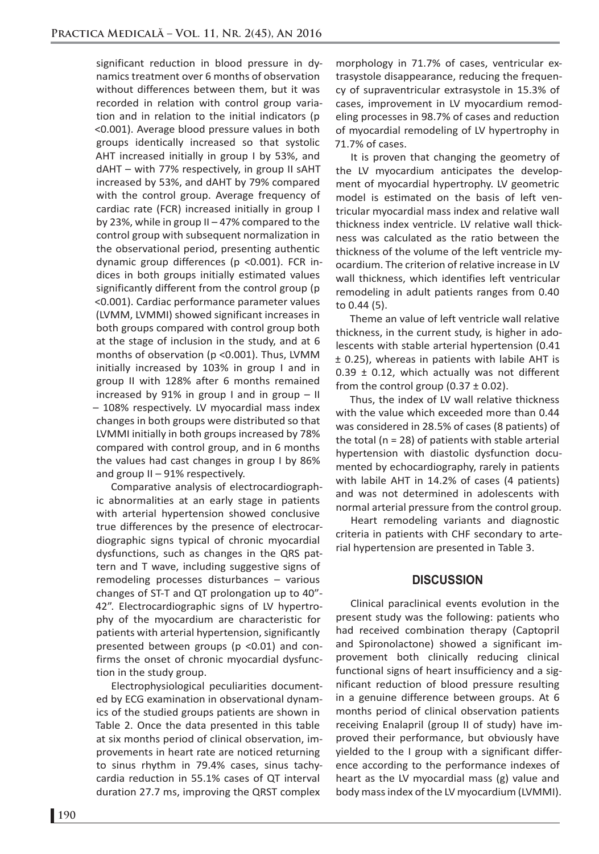significant reduction in blood pressure in dynamics treatment over 6 months of observation without differences between them, but it was recorded in relation with control group variation and in relation to the initial indicators (p <0.001). Average blood pressure values in both groups identically increased so that systolic AHT increased initially in group I by 53%, and dAHT – with 77% respectively, in group II sAHT increased by 53%, and dAHT by 79% compared with the control group. Average frequency of cardiac rate (FCR) increased initially in group I by 23%, while in group II – 47% compared to the control group with subsequent normalization in the observational period, presenting authentic dynamic group differences (p <0.001). FCR indices in both groups initially estimated values significantly different from the control group (p <0.001). Cardiac performance parameter values (LVMM, LVMMI) showed significant increases in both groups compared with control group both at the stage of inclusion in the study, and at 6 months of observation (p <0.001). Thus, LVMM initially increased by 103% in group I and in group II with 128% after 6 months remained increased by 91% in group I and in group  $-$  II – 108% respectively. LV myocardial mass index changes in both groups were distributed so that LVMMI initially in both groups increased by 78% compared with control group, and in 6 months the values had cast changes in group I by 86% and group II – 91% respectively.

Comparative analysis of electrocardiographic abnormalities at an early stage in patients with arterial hypertension showed conclusive true differences by the presence of electrocardiographic signs typical of chronic myocardial dysfunctions, such as changes in the QRS pattern and T wave, including suggestive signs of remodeling processes disturbances – various changes of ST-T and QT prolongation up to 40"- 42". Electrocardiographic signs of LV hypertrophy of the myocardium are characteristic for patients with arterial hypertension, significantly presented between groups (p <0.01) and confirms the onset of chronic myocardial dysfunction in the study group.

Electrophysiological peculiarities documented by ECG examination in observational dynamics of the studied groups patients are shown in Table 2. Once the data presented in this table at six months period of clinical observation, improvements in heart rate are noticed returning to sinus rhythm in 79.4% cases, sinus tachycardia reduction in 55.1% cases of QT interval duration 27.7 ms, improving the QRST complex

morphology in 71.7% of cases, ventricular extrasystole disappearance, reducing the frequency of supraventricular extrasystole in 15.3% of cases, improvement in LV myocardium remodeling processes in 98.7% of cases and reduction of myocardial remodeling of LV hypertrophy in 71.7% of cases.

It is proven that changing the geometry of the LV myocardium anticipates the development of myocardial hypertrophy. LV geometric model is estimated on the basis of left ventricular myocardial mass index and relative wall thickness index ventricle. LV relative wall thickness was calculated as the ratio between the thickness of the volume of the left ventricle myocardium. The criterion of relative increase in LV wall thickness, which identifies left ventricular remodeling in adult patients ranges from 0.40 to 0.44 (5).

Theme an value of left ventricle wall relative thickness, in the current study, is higher in adolescents with stable arterial hypertension (0.41 ± 0.25), whereas in patients with labile AHT is  $0.39 \pm 0.12$ , which actually was not different from the control group (0.37  $\pm$  0.02).

Thus, the index of LV wall relative thickness with the value which exceeded more than 0.44 was considered in 28.5% of cases (8 patients) of the total ( $n = 28$ ) of patients with stable arterial hypertension with diastolic dysfunction documented by echocardiography, rarely in patients with labile AHT in 14.2% of cases (4 patients) and was not determined in adolescents with normal arterial pressure from the control group.

Heart remodeling variants and diagnostic criteria in patients with CHF secondary to arterial hypertension are presented in Table 3.

## **DISCUSSION**

Clinical paraclinical events evolution in the present study was the following: patients who had received combination therapy (Captopril and Spironolactone) showed a significant improvement both clinically reducing clinical functional signs of heart insufficiency and a significant reduction of blood pressure resulting in a genuine difference between groups. At 6 months period of clinical observation patients receiving Enalapril (group II of study) have improved their performance, but obviously have yielded to the I group with a significant difference according to the performance indexes of heart as the LV myocardial mass (g) value and body mass index of the LV myocardium (LVMMI).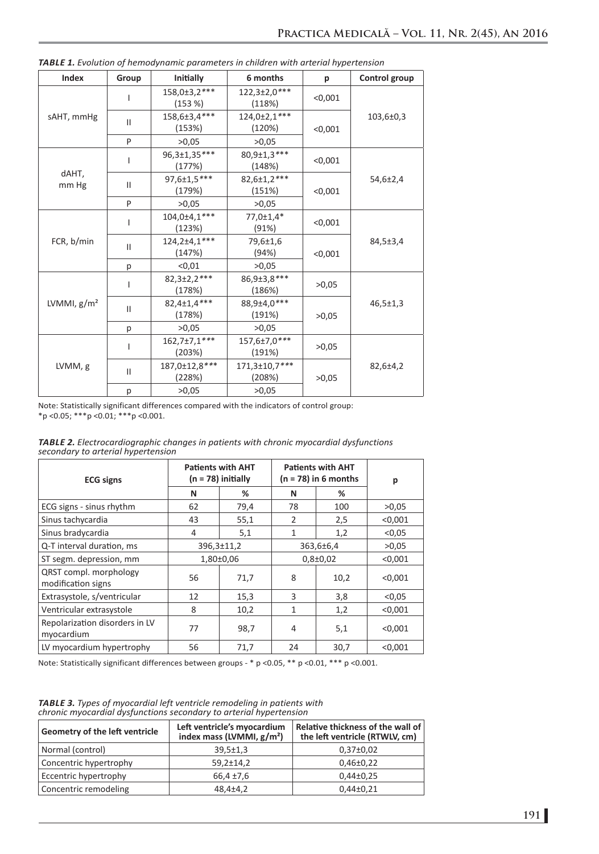| Index          | Group         | Initially                    | 6 months                 | p       | Control group  |
|----------------|---------------|------------------------------|--------------------------|---------|----------------|
| sAHT, mmHg     |               | 158,0±3,2***<br>(153%)       | 122,3±2,0***<br>(118%)   | < 0.001 | 103,6±0,3      |
|                | $\mathbf{II}$ | 158,6±3,4***<br>(153%)       | 124,0±2,1***<br>(120%)   | < 0.001 |                |
|                | P             | >0.05                        | >0.05                    |         |                |
| dAHT,<br>mm Hg |               | 96,3±1,35***<br>(177%)       | 80, 9±1, 3***<br>(148%)  | < 0.001 |                |
|                | Ш             | 97,6±1,5***<br>(179%)        | 82,6±1,2***<br>(151%)    | < 0.001 | 54,6±2,4       |
|                | P             | >0.05                        | >0.05                    |         |                |
| FCR, b/min     |               | 104,0±4,1***<br>(123%)       | 77,0±1,4*<br>(91%)       | < 0.001 | 84,5±3,4       |
|                | Ш             | $124,2{\pm}4,1***$<br>(147%) | 79,6±1,6<br>(94%)        | < 0,001 |                |
|                | р             | < 0.01                       | >0,05                    |         |                |
| LVMMI, $g/m2$  | L             | $82,3\pm2,2***$<br>(178%)    | 86, 9± 3, 8***<br>(186%) | >0,05   | $46,5 \pm 1,3$ |
|                | Ш             | 82,4±1,4***<br>(178%)        | 88,9±4,0***<br>(191%)    | >0.05   |                |
|                | р             | >0.05                        | >0.05                    |         |                |
| LVMM, g        | L             | $162,7\pm7,1***$<br>(203%)   | 157,6±7,0***<br>(191%)   | >0.05   |                |
|                | Ш             | 187,0±12,8***<br>(228%)      | 171,3±10,7***<br>(208%)  | >0.05   | 82,6±4,2       |
|                | p             | >0.05                        | >0.05                    |         |                |

| <b>TABLE 1.</b> Evolution of hemodynamic parameters in children with arterial hypertension |  |
|--------------------------------------------------------------------------------------------|--|
|--------------------------------------------------------------------------------------------|--|

Note: Statistically significant differences compared with the indicators of control group: \*p <0.05; \*\*\*p <0.01; \*\*\*p <0.001.

*TABLE 2. Electrocardiographic changes in patients with chronic myocardial dysfunctions secondary to arterial hypertension*

| <b>ECG signs</b>                             | <b>Patients with AHT</b><br>(n = 78) initially |      | <b>Patients with AHT</b><br>$(n = 78)$ in 6 months |      | р       |
|----------------------------------------------|------------------------------------------------|------|----------------------------------------------------|------|---------|
|                                              | N                                              | %    | N                                                  | ℅    |         |
| ECG signs - sinus rhythm                     | 62                                             | 79,4 | 78                                                 | 100  | >0.05   |
| Sinus tachycardia                            | 43                                             | 55,1 | $\overline{2}$                                     | 2,5  | < 0.001 |
| Sinus bradycardia                            | 4                                              | 5,1  | $\mathbf{1}$                                       | 1,2  | < 0.05  |
| Q-T interval duration, ms                    | $396,3 \pm 11,2$                               |      | 363,6±6,4                                          |      | >0.05   |
| ST segm. depression, mm                      | $1,80\pm0.06$                                  |      | $0,8{\pm}0,02$                                     |      | < 0.001 |
| QRST compl. morphology<br>modification signs | 56                                             | 71,7 | 8                                                  | 10,2 | < 0.001 |
| Extrasystole, s/ventricular                  | 12                                             | 15,3 | 3                                                  | 3,8  | < 0.05  |
| Ventricular extrasystole                     | 8                                              | 10,2 | $\mathbf{1}$                                       | 1,2  | < 0.001 |
| Repolarization disorders in LV<br>myocardium | 77                                             | 98,7 | 4                                                  | 5,1  | < 0.001 |
| LV myocardium hypertrophy                    | 56                                             | 71,7 | 24                                                 | 30,7 | < 0.001 |

Note: Statistically significant differences between groups - \* p <0.05, \*\* p <0.01, \*\*\* p <0.001.

*TABLE 3. Types of myocardial left ventricle remodeling in patients with chronic myocardial dysfunctions secondary to arterial hypertension*

| Geometry of the left ventricle | Left ventricle's myocardium<br>index mass (LVMMI, $g/m2$ ) | Relative thickness of the wall of<br>the left ventricle (RTWLV, cm) |  |  |
|--------------------------------|------------------------------------------------------------|---------------------------------------------------------------------|--|--|
| Normal (control)               | $39,5 \pm 1,3$                                             | $0,37\pm0.02$                                                       |  |  |
| Concentric hypertrophy         | $59,2 \pm 14,2$                                            | $0,46\pm0,22$                                                       |  |  |
| Eccentric hypertrophy          | $66,4 \pm 7,6$                                             | $0,44\pm0.25$                                                       |  |  |
| Concentric remodeling          | $48,4{\pm}4,2$                                             | $0,44\pm0,21$                                                       |  |  |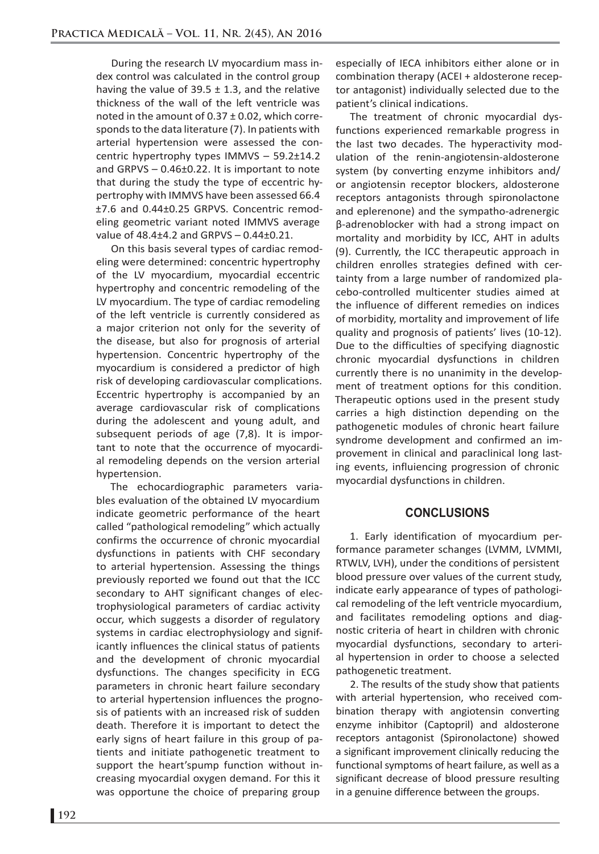During the research LV myocardium mass index control was calculated in the control group having the value of  $39.5 \pm 1.3$ , and the relative thickness of the wall of the left ventricle was noted in the amount of  $0.37 \pm 0.02$ , which corresponds to the data literature (7). In patients with arterial hypertension were assessed the concentric hypertrophy types IMMVS – 59.2±14.2 and GRPVS – 0.46±0.22. It is important to note that during the study the type of eccentric hypertrophy with IMMVS have been assessed 66.4 ±7.6 and 0.44±0.25 GRPVS. Concentric remodeling geometric variant noted IMMVS average value of 48.4±4.2 and GRPVS – 0.44±0.21.

On this basis several types of cardiac remodeling were determined: concentric hypertrophy of the LV myocardium, myocardial eccentric hypertrophy and concentric remodeling of the LV myocardium. The type of cardiac remodeling of the left ventricle is currently considered as a major criterion not only for the severity of the disease, but also for prognosis of arterial hypertension. Concentric hypertrophy of the myocardium is considered a predictor of high risk of developing cardiovascular complications. Eccentric hypertrophy is accompanied by an average cardiovascular risk of complications during the adolescent and young adult, and subsequent periods of age (7,8). It is important to note that the occurrence of myocardial remodeling depends on the version arterial hypertension.

The echocardiographic parameters variables evaluation of the obtained LV myocardium indicate geometric performance of the heart called "pathological remodeling" which actually confirms the occurrence of chronic myocardial dysfunctions in patients with CHF secondary to arterial hypertension. Assessing the things previously reported we found out that the ICC secondary to AHT significant changes of electrophysiological parameters of cardiac activity occur, which suggests a disorder of regulatory systems in cardiac electrophysiology and significantly influences the clinical status of patients and the development of chronic myocardial dysfunctions. The changes specificity in ECG parameters in chronic heart failure secondary to arterial hypertension influences the prognosis of patients with an increased risk of sudden death. Therefore it is important to detect the early signs of heart failure in this group of patients and initiate pathogenetic treatment to support the heart'spump function without increasing myocardial oxygen demand. For this it was opportune the choice of preparing group

especially of IECA inhibitors either alone or in combination therapy (ACEI + aldosterone receptor antagonist) individually selected due to the patient's clinical indications.

The treatment of chronic myocardial dysfunctions experienced remarkable progress in the last two decades. The hyperactivity modulation of the renin-angiotensin-aldosterone system (by converting enzyme inhibitors and/ or angiotensin receptor blockers, aldosterone receptors antagonists through spironolactone and eplerenone) and the sympatho-adrenergic β-adrenoblocker with had a strong impact on mortality and morbidity by ICC, AHT in adults (9). Currently, the ICC therapeutic approach in children enrolles strategies defined with certainty from a large number of randomized placebo-controlled multicenter studies aimed at the influence of different remedies on indices of morbidity, mortality and improvement of life quality and prognosis of patients' lives (10-12). Due to the difficulties of specifying diagnostic chronic myocardial dysfunctions in children currently there is no unanimity in the development of treatment options for this condition. Therapeutic options used in the present study carries a high distinction depending on the pathogenetic modules of chronic heart failure syndrome development and confirmed an improvement in clinical and paraclinical long lasting events, influiencing progression of chronic myocardial dysfunctions in children.

## **CONCLUSIONS**

1. Early identification of myocardium performance parameter schanges (LVMM, LVMMI, RTWLV, LVH), under the conditions of persistent blood pressure over values of the current study, indicate early appearance of types of pathological remodeling of the left ventricle myocardium, and facilitates remodeling options and diagnostic criteria of heart in children with chronic myocardial dysfunctions, secondary to arterial hypertension in order to choose a selected pathogenetic treatment.

2. The results of the study show that patients with arterial hypertension, who received combination therapy with angiotensin converting enzyme inhibitor (Captopril) and aldosterone receptors antagonist (Spironolactone) showed a significant improvement clinically reducing the functional symptoms of heart failure, as well as a significant decrease of blood pressure resulting in a genuine difference between the groups.